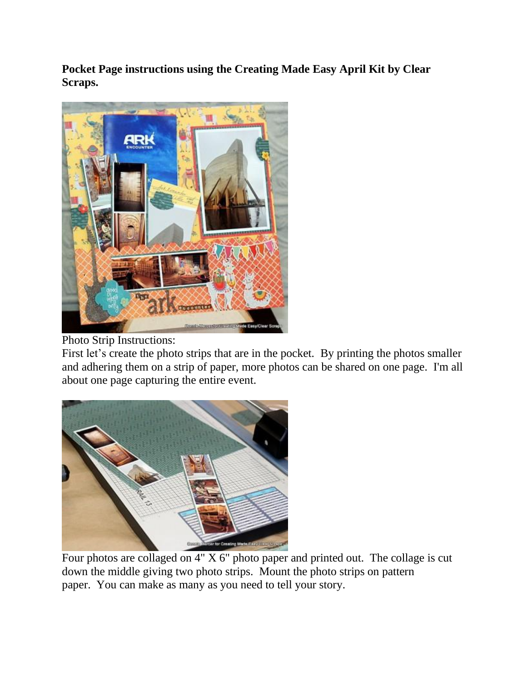**Pocket Page instructions using the Creating Made Easy April Kit by Clear Scraps.**



## Photo Strip Instructions:

First let's create the photo strips that are in the pocket. By printing the photos smaller and adhering them on a strip of paper, more photos can be shared on one page. I'm all about one page capturing the entire event.



Four photos are collaged on 4" X 6" photo paper and printed out. The collage is cut down the middle giving two photo strips. Mount the photo strips on pattern paper. You can make as many as you need to tell your story.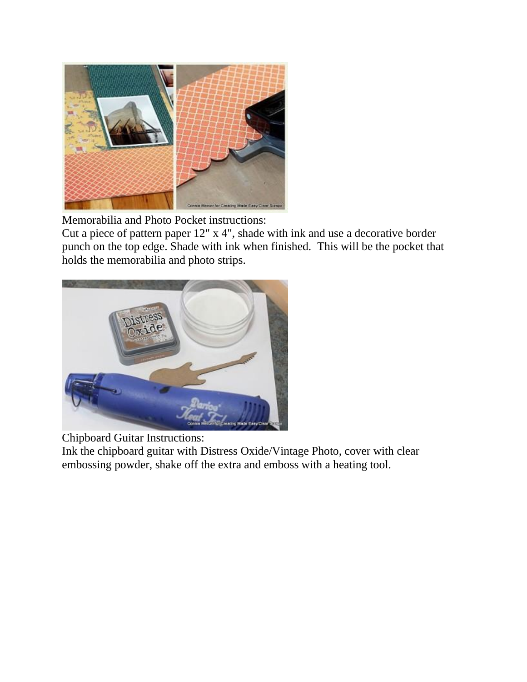

Memorabilia and Photo Pocket instructions:

Cut a piece of pattern paper 12" x 4", shade with ink and use a decorative border punch on the top edge. Shade with ink when finished. This will be the pocket that holds the memorabilia and photo strips.



Chipboard Guitar Instructions:

Ink the chipboard guitar with Distress Oxide/Vintage Photo, cover with clear embossing powder, shake off the extra and emboss with a heating tool.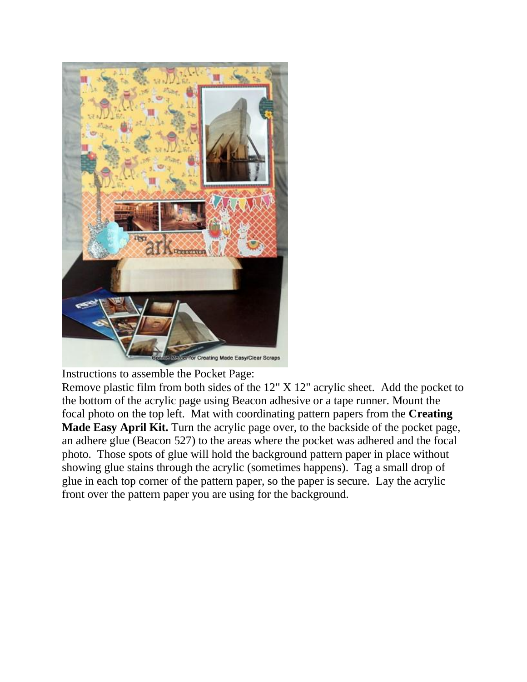

Instructions to assemble the Pocket Page:

Remove plastic film from both sides of the 12" X 12" acrylic sheet. Add the pocket to the bottom of the acrylic page using Beacon adhesive or a tape runner. Mount the focal photo on the top left. Mat with coordinating pattern papers from the **Creating Made Easy April Kit.** Turn the acrylic page over, to the backside of the pocket page, an adhere glue (Beacon 527) to the areas where the pocket was adhered and the focal photo. Those spots of glue will hold the background pattern paper in place without showing glue stains through the acrylic (sometimes happens). Tag a small drop of glue in each top corner of the pattern paper, so the paper is secure. Lay the acrylic front over the pattern paper you are using for the background.